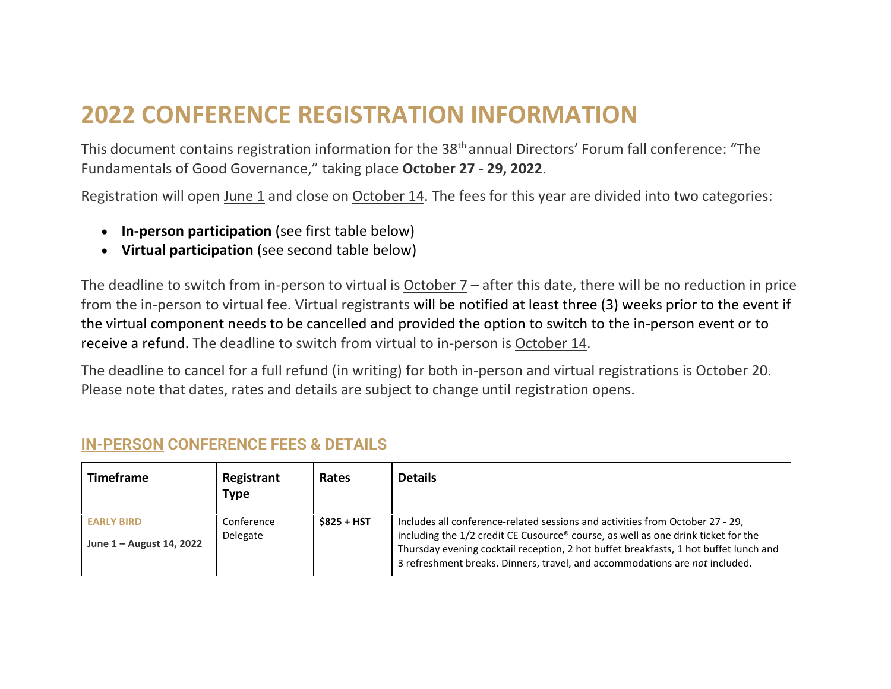## **2022 CONFERENCE REGISTRATION INFORMATION**

This document contains registration information for the 38<sup>th</sup> annual Directors' Forum fall conference: "The Fundamentals of Good Governance," taking place **October 27 - 29, 2022**.

Registration will open June 1 and close on October 14. The fees for this year are divided into two categories:

- **In-person participation** (see first table below)
- **Virtual participation** (see second table below)

The deadline to switch from in-person to virtual is October 7 – after this date, there will be no reduction in price from the in-person to virtual fee. Virtual registrants will be notified at least three (3) weeks prior to the event if the virtual component needs to be cancelled and provided the option to switch to the in-person event or to receive a refund. The deadline to switch from virtual to in-person is October 14.

The deadline to cancel for a full refund (in writing) for both in-person and virtual registrations is October 20. Please note that dates, rates and details are subject to change until registration opens.

| <b>Timeframe</b>                              | Registrant<br>Type     | Rates       | <b>Details</b>                                                                                                                                                                                                                                                                                                                            |
|-----------------------------------------------|------------------------|-------------|-------------------------------------------------------------------------------------------------------------------------------------------------------------------------------------------------------------------------------------------------------------------------------------------------------------------------------------------|
| <b>EARLY BIRD</b><br>June 1 – August 14, 2022 | Conference<br>Delegate | \$825 + HST | Includes all conference-related sessions and activities from October 27 - 29,<br>including the 1/2 credit CE Cusource® course, as well as one drink ticket for the<br>Thursday evening cocktail reception, 2 hot buffet breakfasts, 1 hot buffet lunch and<br>3 refreshment breaks. Dinners, travel, and accommodations are not included. |

## **IN-PERSON CONFERENCE FEES & DETAILS**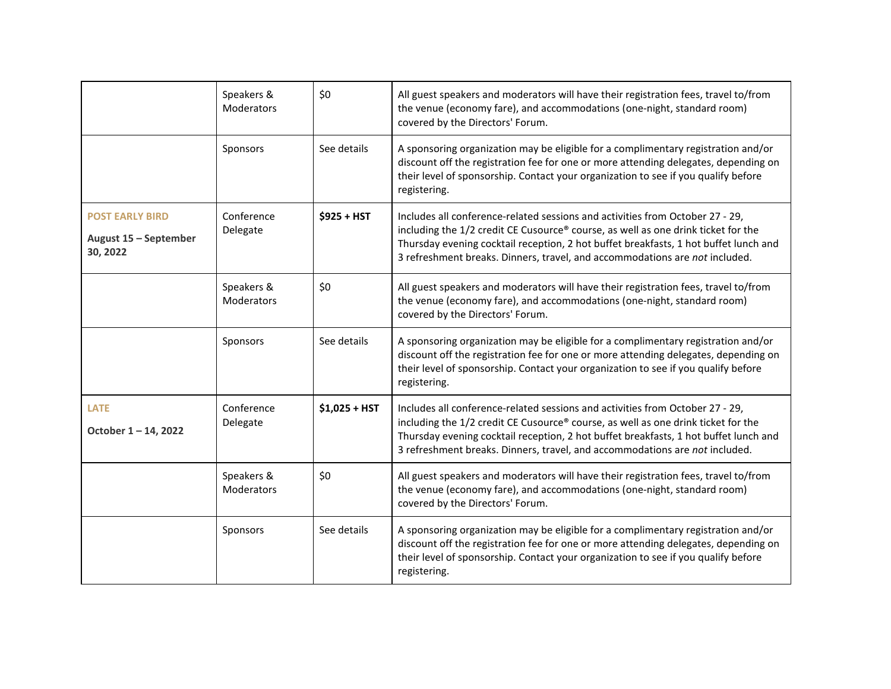|                                                             | Speakers &<br>Moderators | \$0            | All guest speakers and moderators will have their registration fees, travel to/from<br>the venue (economy fare), and accommodations (one-night, standard room)<br>covered by the Directors' Forum.                                                                                                                                        |
|-------------------------------------------------------------|--------------------------|----------------|-------------------------------------------------------------------------------------------------------------------------------------------------------------------------------------------------------------------------------------------------------------------------------------------------------------------------------------------|
|                                                             | Sponsors                 | See details    | A sponsoring organization may be eligible for a complimentary registration and/or<br>discount off the registration fee for one or more attending delegates, depending on<br>their level of sponsorship. Contact your organization to see if you qualify before<br>registering.                                                            |
| <b>POST EARLY BIRD</b><br>August 15 - September<br>30, 2022 | Conference<br>Delegate   | $$925 + HST$   | Includes all conference-related sessions and activities from October 27 - 29,<br>including the 1/2 credit CE Cusource® course, as well as one drink ticket for the<br>Thursday evening cocktail reception, 2 hot buffet breakfasts, 1 hot buffet lunch and<br>3 refreshment breaks. Dinners, travel, and accommodations are not included. |
|                                                             | Speakers &<br>Moderators | \$0            | All guest speakers and moderators will have their registration fees, travel to/from<br>the venue (economy fare), and accommodations (one-night, standard room)<br>covered by the Directors' Forum.                                                                                                                                        |
|                                                             | Sponsors                 | See details    | A sponsoring organization may be eligible for a complimentary registration and/or<br>discount off the registration fee for one or more attending delegates, depending on<br>their level of sponsorship. Contact your organization to see if you qualify before<br>registering.                                                            |
| <b>LATE</b><br>October 1-14, 2022                           | Conference<br>Delegate   | $$1,025 + HST$ | Includes all conference-related sessions and activities from October 27 - 29,<br>including the 1/2 credit CE Cusource® course, as well as one drink ticket for the<br>Thursday evening cocktail reception, 2 hot buffet breakfasts, 1 hot buffet lunch and<br>3 refreshment breaks. Dinners, travel, and accommodations are not included. |
|                                                             | Speakers &<br>Moderators | \$0            | All guest speakers and moderators will have their registration fees, travel to/from<br>the venue (economy fare), and accommodations (one-night, standard room)<br>covered by the Directors' Forum.                                                                                                                                        |
|                                                             | Sponsors                 | See details    | A sponsoring organization may be eligible for a complimentary registration and/or<br>discount off the registration fee for one or more attending delegates, depending on<br>their level of sponsorship. Contact your organization to see if you qualify before<br>registering.                                                            |